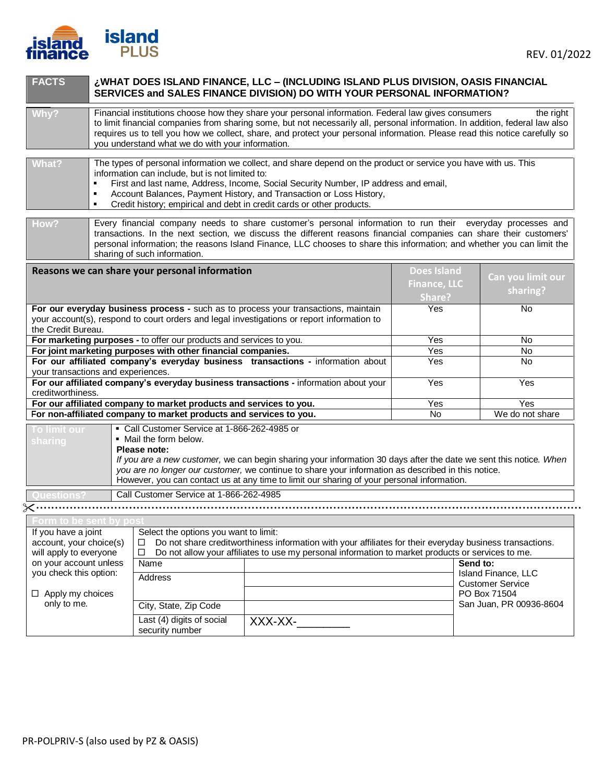

| <b>FACTS</b>                                                                                                                                                                                           |                                                                                                                                                                                                                                                                                                                                                                                                                                                          | WHAT DOES ISLAND FINANCE, LLC – (INCLUDING ISLAND PLUS DIVISION, OASIS FINANCIAL<br>SERVICES and SALES FINANCE DIVISION) DO WITH YOUR PERSONAL INFORMATION? |                                                     |                                                |  |
|--------------------------------------------------------------------------------------------------------------------------------------------------------------------------------------------------------|----------------------------------------------------------------------------------------------------------------------------------------------------------------------------------------------------------------------------------------------------------------------------------------------------------------------------------------------------------------------------------------------------------------------------------------------------------|-------------------------------------------------------------------------------------------------------------------------------------------------------------|-----------------------------------------------------|------------------------------------------------|--|
| Why?                                                                                                                                                                                                   | Financial institutions choose how they share your personal information. Federal law gives consumers<br>the right<br>to limit financial companies from sharing some, but not necessarily all, personal information. In addition, federal law also<br>requires us to tell you how we collect, share, and protect your personal information. Please read this notice carefully so<br>you understand what we do with your information.                       |                                                                                                                                                             |                                                     |                                                |  |
| <b>What?</b><br>٠<br>٠                                                                                                                                                                                 | The types of personal information we collect, and share depend on the product or service you have with us. This<br>information can include, but is not limited to:<br>$\blacksquare$<br>First and last name, Address, Income, Social Security Number, IP address and email,<br>Account Balances, Payment History, and Transaction or Loss History,<br>Credit history; empirical and debt in credit cards or other products.                              |                                                                                                                                                             |                                                     |                                                |  |
| How?                                                                                                                                                                                                   | Every financial company needs to share customer's personal information to run their everyday processes and<br>transactions. In the next section, we discuss the different reasons financial companies can share their customers'<br>personal information; the reasons Island Finance, LLC chooses to share this information; and whether you can limit the<br>sharing of such information.                                                               |                                                                                                                                                             |                                                     |                                                |  |
|                                                                                                                                                                                                        | Reasons we can share your personal information                                                                                                                                                                                                                                                                                                                                                                                                           |                                                                                                                                                             | <b>Does Island</b><br><b>Finance, LLC</b><br>Share? | Can you limit our<br>sharing?                  |  |
| For our everyday business process - such as to process your transactions, maintain<br>your account(s), respond to court orders and legal investigations or report information to<br>the Credit Bureau. |                                                                                                                                                                                                                                                                                                                                                                                                                                                          |                                                                                                                                                             | Yes                                                 | No                                             |  |
|                                                                                                                                                                                                        | For marketing purposes - to offer our products and services to you.                                                                                                                                                                                                                                                                                                                                                                                      |                                                                                                                                                             | Yes                                                 | <b>No</b>                                      |  |
|                                                                                                                                                                                                        | For joint marketing purposes with other financial companies.                                                                                                                                                                                                                                                                                                                                                                                             |                                                                                                                                                             | Yes                                                 | No                                             |  |
| For our affiliated company's everyday business transactions - information about<br>your transactions and experiences.                                                                                  |                                                                                                                                                                                                                                                                                                                                                                                                                                                          |                                                                                                                                                             | Yes                                                 | No                                             |  |
| For our affiliated company's everyday business transactions - information about your<br>creditworthiness.                                                                                              |                                                                                                                                                                                                                                                                                                                                                                                                                                                          |                                                                                                                                                             | Yes                                                 | Yes                                            |  |
| For our affiliated company to market products and services to you.                                                                                                                                     |                                                                                                                                                                                                                                                                                                                                                                                                                                                          |                                                                                                                                                             | Yes                                                 | Yes                                            |  |
|                                                                                                                                                                                                        | For non-affiliated company to market products and services to you.                                                                                                                                                                                                                                                                                                                                                                                       |                                                                                                                                                             | No                                                  | We do not share                                |  |
| To limit our<br>sharing<br>uestions                                                                                                                                                                    | Call Customer Service at 1-866-262-4985 or<br>. Mail the form below.<br>Please note:<br>If you are a new customer, we can begin sharing your information 30 days after the date we sent this notice. When<br>you are no longer our customer, we continue to share your information as described in this notice.<br>However, you can contact us at any time to limit our sharing of your personal information.<br>Call Customer Service at 1-866-262-4985 |                                                                                                                                                             |                                                     |                                                |  |
|                                                                                                                                                                                                        |                                                                                                                                                                                                                                                                                                                                                                                                                                                          |                                                                                                                                                             |                                                     |                                                |  |
|                                                                                                                                                                                                        |                                                                                                                                                                                                                                                                                                                                                                                                                                                          |                                                                                                                                                             |                                                     |                                                |  |
| <u>-orm to be sem o</u>                                                                                                                                                                                |                                                                                                                                                                                                                                                                                                                                                                                                                                                          |                                                                                                                                                             |                                                     |                                                |  |
|                                                                                                                                                                                                        | If you have a joint<br>Select the options you want to limit:<br>account, your choice(s)<br>Do not share creditworthiness information with your affiliates for their everyday business transactions.<br>□<br>will apply to everyone<br>□<br>Do not allow your affiliates to use my personal information to market products or services to me.                                                                                                             |                                                                                                                                                             |                                                     |                                                |  |
| on your account unless                                                                                                                                                                                 | Name                                                                                                                                                                                                                                                                                                                                                                                                                                                     | Send to:                                                                                                                                                    |                                                     |                                                |  |
| you check this option:                                                                                                                                                                                 | Address                                                                                                                                                                                                                                                                                                                                                                                                                                                  |                                                                                                                                                             |                                                     | Island Finance, LLC<br><b>Customer Service</b> |  |
| $\Box$ Apply my choices                                                                                                                                                                                |                                                                                                                                                                                                                                                                                                                                                                                                                                                          |                                                                                                                                                             |                                                     | PO Box 71504                                   |  |
| only to me.                                                                                                                                                                                            | City, State, Zip Code                                                                                                                                                                                                                                                                                                                                                                                                                                    |                                                                                                                                                             |                                                     | San Juan, PR 00936-8604                        |  |
|                                                                                                                                                                                                        | Last (4) digits of social<br>security number                                                                                                                                                                                                                                                                                                                                                                                                             | XXX-XX-                                                                                                                                                     |                                                     |                                                |  |